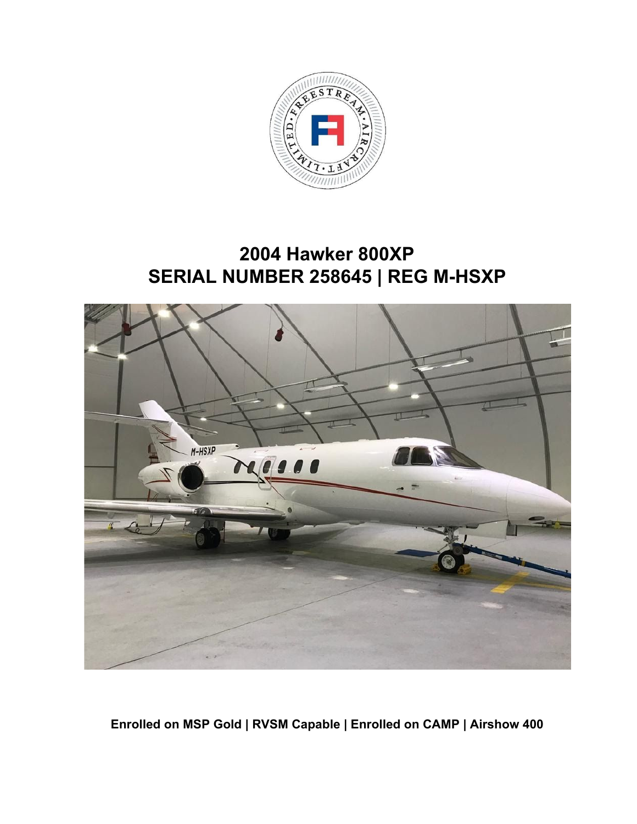

# **2004 Hawker 800XP SERIAL NUMBER 258645 | REG M-HSXP**



**Enrolled on MSP Gold | RVSM Capable | Enrolled on CAMP | Airshow 400**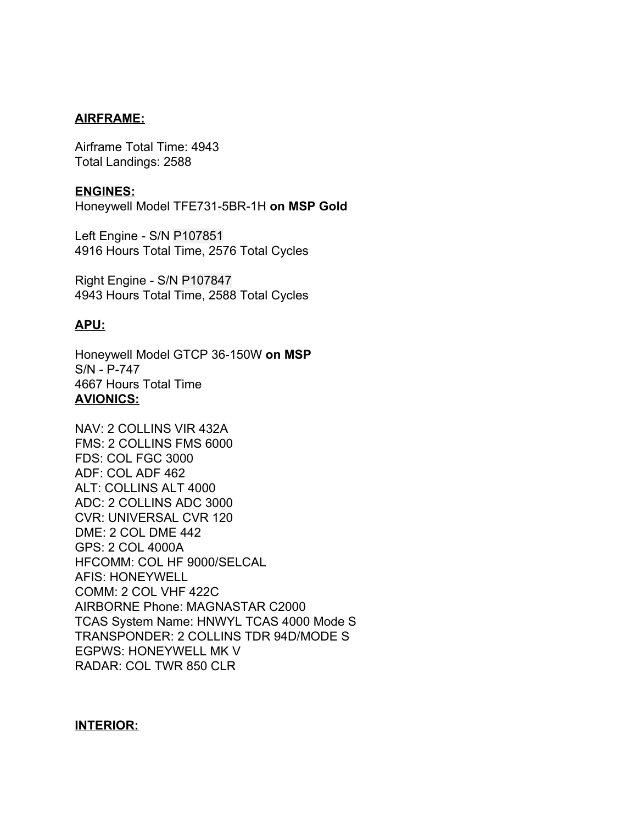#### **AIRFRAME:**

Airframe Total Time: 4943 Total Landings: 2588

### **ENGINES:**

Honeywell Model TFE731-5BR-1H **on MSP Gold**

Left Engine - S/N P107851 4916 Hours Total Time, 2576 Total Cycles

Right Engine - S/N P107847 4943 Hours Total Time, 2588 Total Cycles

## **APU:**

Honeywell Model GTCP 36-150W **on MSP** S/N - P-747 4667 Hours Total Time **AVIONICS:**

NAV: 2 COLLINS VIR 432A FMS: 2 COLLINS FMS 6000 FDS: COL FGC 3000 ADF: COL ADF 462 ALT: COLLINS ALT 4000 ADC: 2 COLLINS ADC 3000 CVR: UNIVERSAL CVR 120 DME: 2 COL DME 442 GPS: 2 COL 4000A HFCOMM: COL HF 9000/SELCAL AFIS: HONEYWELL COMM: 2 COL VHF 422C AIRBORNE Phone: MAGNASTAR C2000 TCAS System Name: HNWYL TCAS 4000 Mode S TRANSPONDER: 2 COLLINS TDR 94D/MODE S EGPWS: HONEYWELL MK V RADAR: COL TWR 850 CLR

#### **INTERIOR:**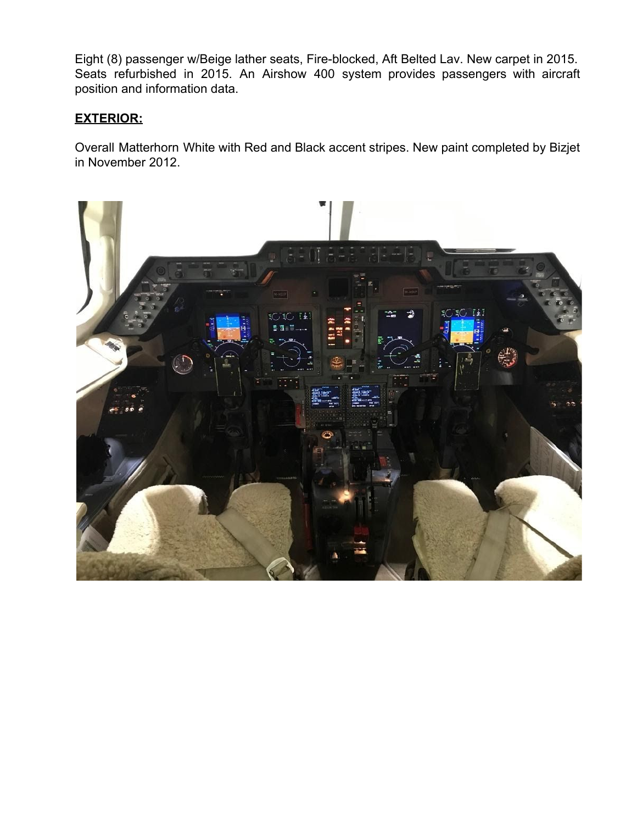Eight (8) passenger w/Beige lather seats, Fire-blocked, Aft Belted Lav. New carpet in 2015. Seats refurbished in 2015. An Airshow 400 system provides passengers with aircraft position and information data.

## **EXTERIOR:**

Overall Matterhorn White with Red and Black accent stripes. New paint completed by Bizjet in November 2012.

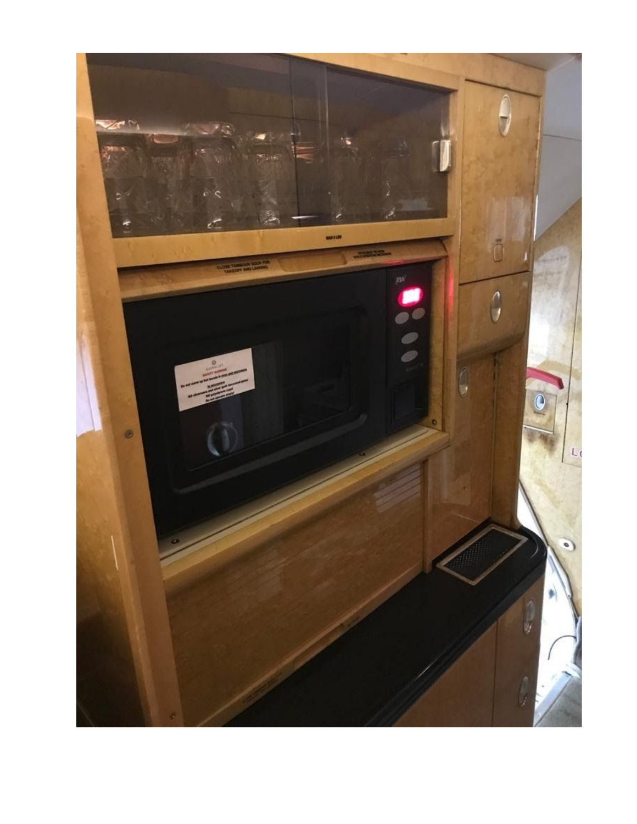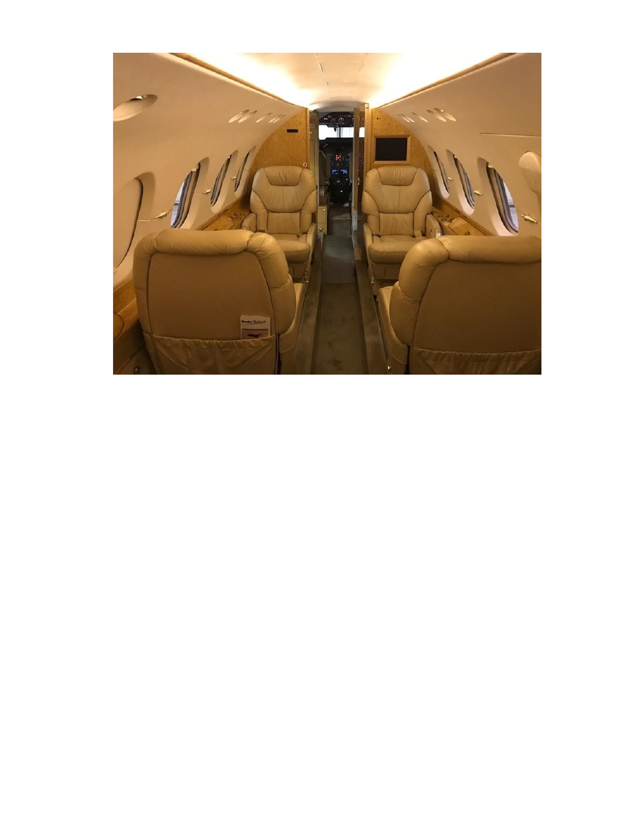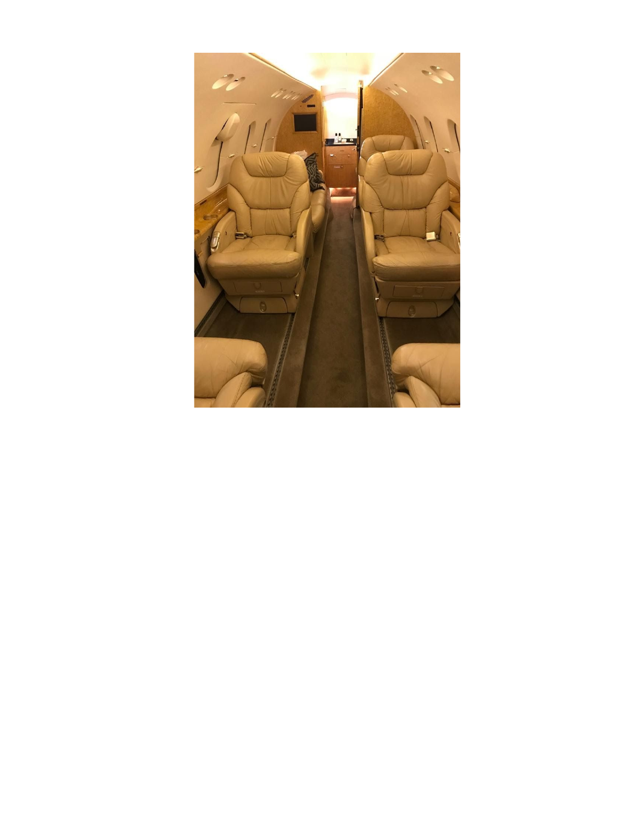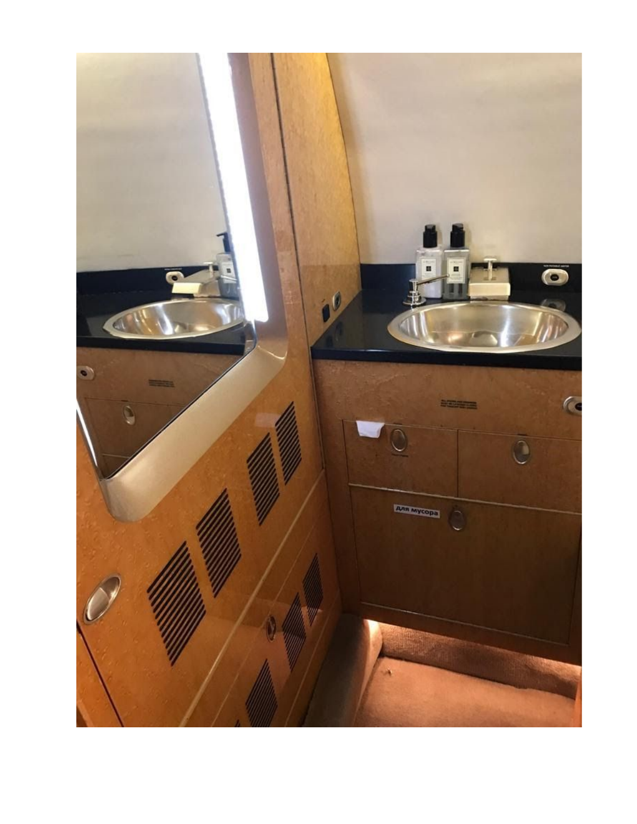